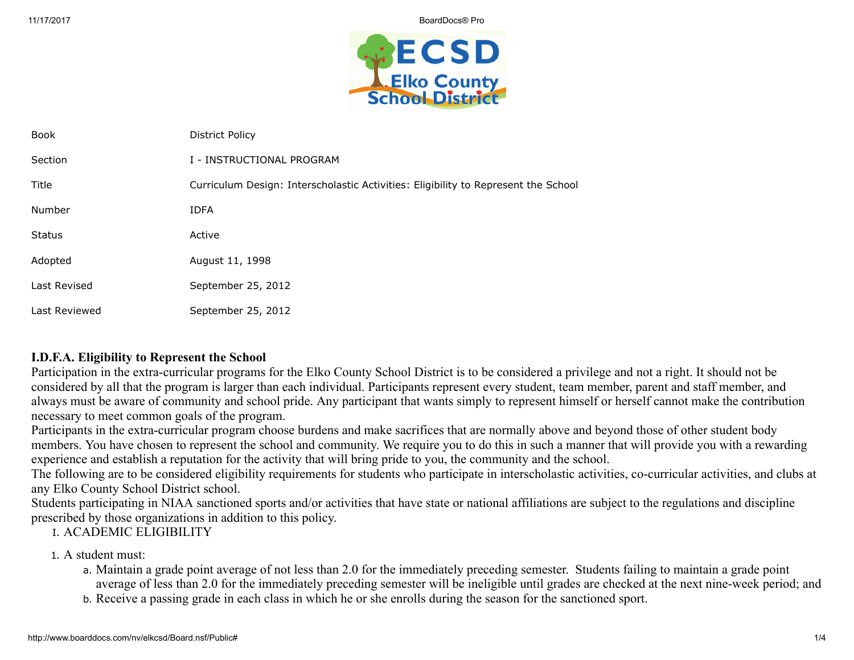

| <b>Book</b>   | <b>District Policy</b>                                                             |
|---------------|------------------------------------------------------------------------------------|
| Section       | I - INSTRUCTIONAL PROGRAM                                                          |
| Title         | Curriculum Design: Interscholastic Activities: Eligibility to Represent the School |
| Number        | <b>IDFA</b>                                                                        |
| <b>Status</b> | Active                                                                             |
| Adopted       | August 11, 1998                                                                    |
| Last Revised  | September 25, 2012                                                                 |
| Last Reviewed | September 25, 2012                                                                 |

### I.D.F.A. Eligibility to Represent the School

Participation in the extra-curricular programs for the Elko County School District is to be considered a privilege and not a right. It should not be considered by all that the program is larger than each individual. Participants represent every student, team member, parent and staff member, and always must be aware of community and school pride. Any participant that wants simply to represent himself or herself cannot make the contribution necessary to meet common goals of the program.

Participants in the extra-curricular program choose burdens and make sacrifices that are normally above and beyond those of other student body members. You have chosen to represent the school and community. We require you to do this in such a manner that will provide you with a rewarding experience and establish a reputation for the activity that will bring pride to you, the community and the school.

The following are to be considered eligibility requirements for students who participate in interscholastic activities, co-curricular activities, and clubs at any Elko County School District school.

Students participating in NIAA sanctioned sports and/or activities that have state or national affiliations are subject to the regulations and discipline prescribed by those organizations in addition to this policy.

I. ACADEMIC ELIGIBILITY

1. A student must:

- a. Maintain a grade point average of not less than 2.0 for the immediately preceding semester. Students failing to maintain a grade point average of less than 2.0 for the immediately preceding semester will be ineligible until grades are checked at the next nine-week period; and
- b. Receive a passing grade in each class in which he or she enrolls during the season for the sanctioned sport.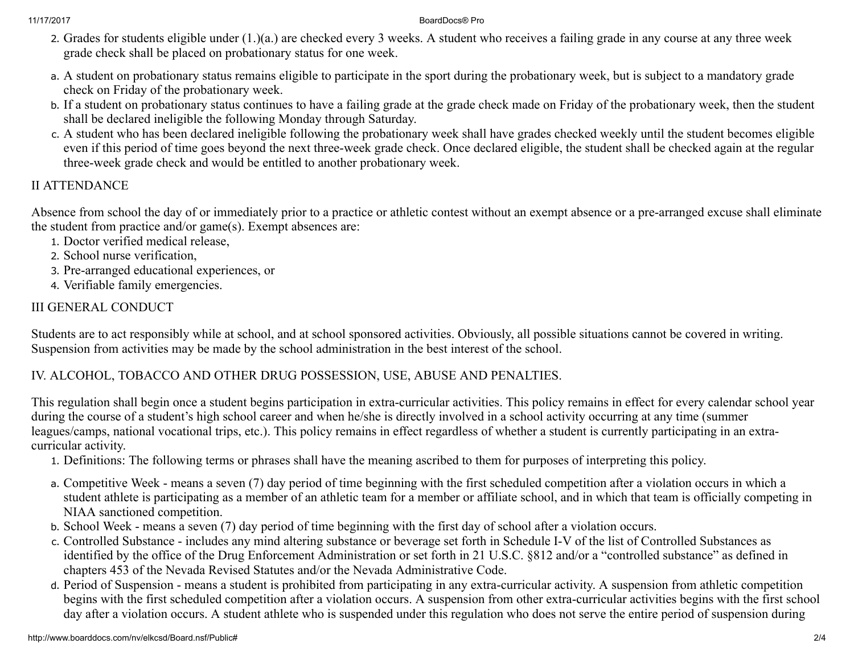- 2. Grades for students eligible under (1.)(a.) are checked every 3 weeks. A student who receives a failing grade in any course at any three week grade check shall be placed on probationary status for one week.
- a. A student on probationary status remains eligible to participate in the sport during the probationary week, but is subject to a mandatory grade check on Friday of the probationary week.
- b. If a student on probationary status continues to have a failing grade at the grade check made on Friday of the probationary week, then the student shall be declared ineligible the following Monday through Saturday.
- c. A student who has been declared ineligible following the probationary week shall have grades checked weekly until the student becomes eligible even if this period of time goes beyond the next three-week grade check. Once declared eligible, the student shall be checked again at the regular three-week grade check and would be entitled to another probationary week.

# II ATTENDANCE

Absence from school the day of or immediately prior to a practice or athletic contest without an exempt absence or a pre-arranged excuse shall eliminate the student from practice and/or game(s). Exempt absences are:

- 1. Doctor verified medical release,
- 2. School nurse verification,
- 3. Pre-arranged educational experiences, or
- 4. Verifiable family emergencies.

# III GENERAL CONDUCT

Students are to act responsibly while at school, and at school sponsored activities. Obviously, all possible situations cannot be covered in writing. Suspension from activities may be made by the school administration in the best interest of the school.

## IV. ALCOHOL, TOBACCO AND OTHER DRUG POSSESSION, USE, ABUSE AND PENALTIES.

This regulation shall begin once a student begins participation in extra-curricular activities. This policy remains in effect for every calendar school year during the course of a student's high school career and when he/she is directly involved in a school activity occurring at any time (summer leagues/camps, national vocational trips, etc.). This policy remains in effect regardless of whether a student is currently participating in an extracurricular activity.

- 1. Definitions: The following terms or phrases shall have the meaning ascribed to them for purposes of interpreting this policy.
- a. Competitive Week means a seven (7) day period of time beginning with the first scheduled competition after a violation occurs in which a student athlete is participating as a member of an athletic team for a member or affiliate school, and in which that team is officially competing in NIAA sanctioned competition.
- b. School Week means a seven (7) day period of time beginning with the first day of school after a violation occurs.
- c. Controlled Substance includes any mind altering substance or beverage set forth in Schedule I-V of the list of Controlled Substances as identified by the office of the Drug Enforcement Administration or set forth in 21 U.S.C. §812 and/or a "controlled substance" as defined in chapters 453 of the Nevada Revised Statutes and/or the Nevada Administrative Code.
- d. Period of Suspension means a student is prohibited from participating in any extra-curricular activity. A suspension from athletic competition begins with the first scheduled competition after a violation occurs. A suspension from other extra-curricular activities begins with the first school day after a violation occurs. A student athlete who is suspended under this regulation who does not serve the entire period of suspension during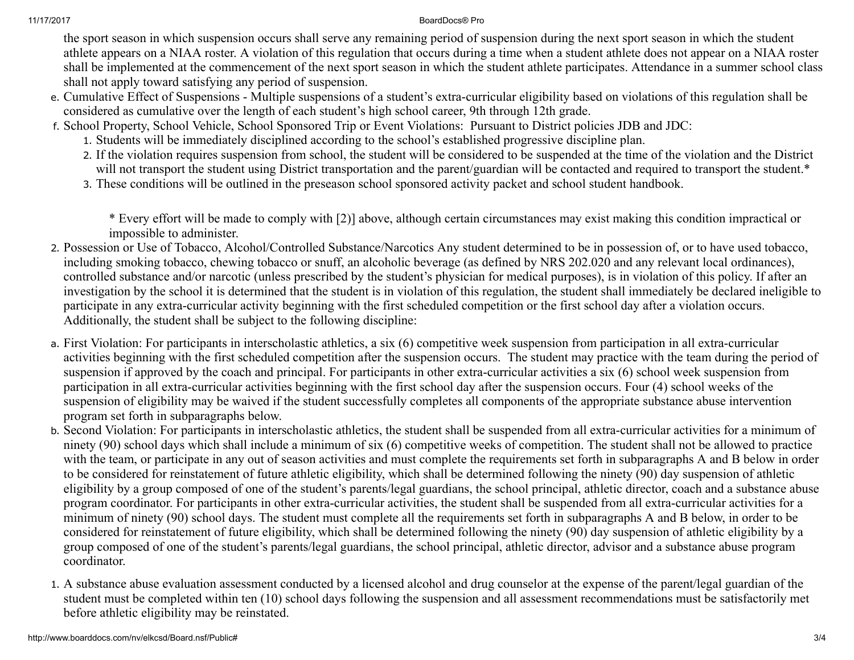the sport season in which suspension occurs shall serve any remaining period of suspension during the next sport season in which the student athlete appears on a NIAA roster. A violation of this regulation that occurs during a time when a student athlete does not appear on a NIAA roster shall be implemented at the commencement of the next sport season in which the student athlete participates. Attendance in a summer school class shall not apply toward satisfying any period of suspension.

- e. Cumulative Effect of Suspensions Multiple suspensions of a student's extra-curricular eligibility based on violations of this regulation shall be considered as cumulative over the length of each student's high school career, 9th through 12th grade.
- f. School Property, School Vehicle, School Sponsored Trip or Event Violations: Pursuant to District policies JDB and JDC:
	- 1. Students will be immediately disciplined according to the school's established progressive discipline plan.
	- 2. If the violation requires suspension from school, the student will be considered to be suspended at the time of the violation and the District will not transport the student using District transportation and the parent/guardian will be contacted and required to transport the student.\*
	- 3. These conditions will be outlined in the preseason school sponsored activity packet and school student handbook.

\* Every effort will be made to comply with [2)] above, although certain circumstances may exist making this condition impractical or impossible to administer.

- 2. Possession or Use of Tobacco, Alcohol/Controlled Substance/Narcotics Any student determined to be in possession of, or to have used tobacco, including smoking tobacco, chewing tobacco or snuff, an alcoholic beverage (as defined by NRS 202.020 and any relevant local ordinances), controlled substance and/or narcotic (unless prescribed by the student's physician for medical purposes), is in violation of this policy. If after an investigation by the school it is determined that the student is in violation of this regulation, the student shall immediately be declared ineligible to participate in any extra-curricular activity beginning with the first scheduled competition or the first school day after a violation occurs. Additionally, the student shall be subject to the following discipline:
- a. First Violation: For participants in interscholastic athletics, a six (6) competitive week suspension from participation in all extra-curricular activities beginning with the first scheduled competition after the suspension occurs. The student may practice with the team during the period of suspension if approved by the coach and principal. For participants in other extra-curricular activities a six (6) school week suspension from participation in all extra-curricular activities beginning with the first school day after the suspension occurs. Four (4) school weeks of the suspension of eligibility may be waived if the student successfully completes all components of the appropriate substance abuse intervention program set forth in subparagraphs below.
- b. Second Violation: For participants in interscholastic athletics, the student shall be suspended from all extra-curricular activities for a minimum of ninety (90) school days which shall include a minimum of six (6) competitive weeks of competition. The student shall not be allowed to practice with the team, or participate in any out of season activities and must complete the requirements set forth in subparagraphs A and B below in order to be considered for reinstatement of future athletic eligibility, which shall be determined following the ninety (90) day suspension of athletic eligibility by a group composed of one of the student's parents/legal guardians, the school principal, athletic director, coach and a substance abuse program coordinator. For participants in other extra-curricular activities, the student shall be suspended from all extra-curricular activities for a minimum of ninety (90) school days. The student must complete all the requirements set forth in subparagraphs A and B below, in order to be considered for reinstatement of future eligibility, which shall be determined following the ninety (90) day suspension of athletic eligibility by a group composed of one of the student's parents/legal guardians, the school principal, athletic director, advisor and a substance abuse program coordinator.
- 1. A substance abuse evaluation assessment conducted by a licensed alcohol and drug counselor at the expense of the parent/legal guardian of the student must be completed within ten (10) school days following the suspension and all assessment recommendations must be satisfactorily met before athletic eligibility may be reinstated.